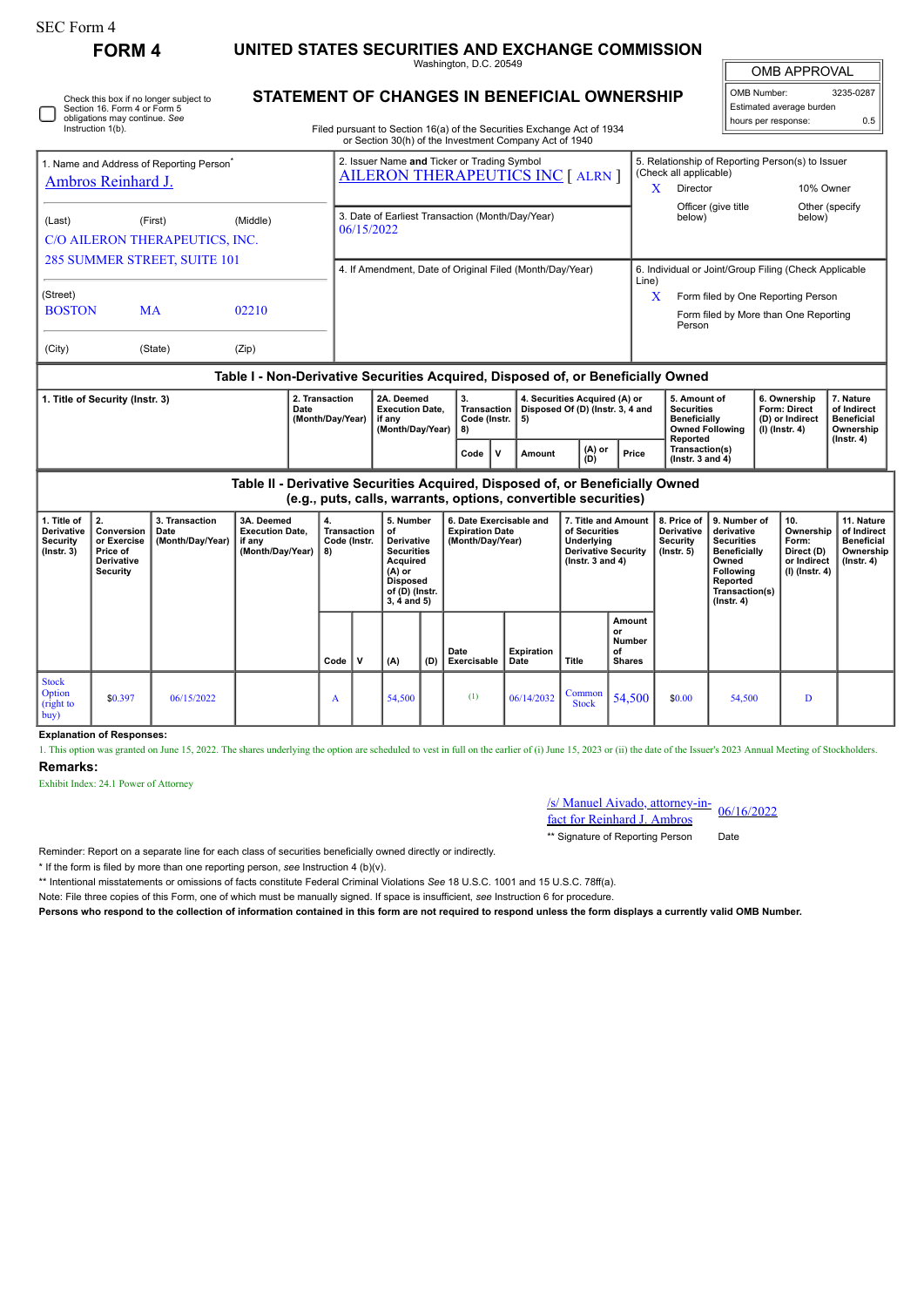| <b>SEC Form 4</b>                                                                                                            |                                                                              |                                            |                                                                                  |                                                                            |                                                                                                                                                                                  |                                                                                                                                           |     |                                                                       |                                                                |                                                                                                                   |                                                             |                                                                                    |                                                                                                                                                              |                                                               |                                                                            |                                                                                 |  |
|------------------------------------------------------------------------------------------------------------------------------|------------------------------------------------------------------------------|--------------------------------------------|----------------------------------------------------------------------------------|----------------------------------------------------------------------------|----------------------------------------------------------------------------------------------------------------------------------------------------------------------------------|-------------------------------------------------------------------------------------------------------------------------------------------|-----|-----------------------------------------------------------------------|----------------------------------------------------------------|-------------------------------------------------------------------------------------------------------------------|-------------------------------------------------------------|------------------------------------------------------------------------------------|--------------------------------------------------------------------------------------------------------------------------------------------------------------|---------------------------------------------------------------|----------------------------------------------------------------------------|---------------------------------------------------------------------------------|--|
| <b>FORM4</b>                                                                                                                 |                                                                              |                                            |                                                                                  | UNITED STATES SECURITIES AND EXCHANGE COMMISSION<br>Washington, D.C. 20549 |                                                                                                                                                                                  |                                                                                                                                           |     |                                                                       |                                                                |                                                                                                                   |                                                             |                                                                                    | <b>OMB APPROVAL</b>                                                                                                                                          |                                                               |                                                                            |                                                                                 |  |
| Check this box if no longer subject to<br>Section 16. Form 4 or Form 5<br>obligations may continue. See<br>Instruction 1(b). |                                                                              |                                            |                                                                                  |                                                                            | STATEMENT OF CHANGES IN BENEFICIAL OWNERSHIP<br>Filed pursuant to Section 16(a) of the Securities Exchange Act of 1934<br>or Section 30(h) of the Investment Company Act of 1940 |                                                                                                                                           |     |                                                                       |                                                                |                                                                                                                   |                                                             |                                                                                    | OMB Number:<br>3235-0287<br>Estimated average burden<br>hours per response:<br>0.5                                                                           |                                                               |                                                                            |                                                                                 |  |
| 1. Name and Address of Reporting Person <sup>®</sup><br>Ambros Reinhard J.                                                   |                                                                              |                                            |                                                                                  |                                                                            | 2. Issuer Name and Ticker or Trading Symbol<br>AILERON THERAPEUTICS INC [ ALRN ]                                                                                                 |                                                                                                                                           |     |                                                                       |                                                                |                                                                                                                   |                                                             | (Check all applicable)<br>Director<br>X                                            |                                                                                                                                                              | 5. Relationship of Reporting Person(s) to Issuer<br>10% Owner |                                                                            |                                                                                 |  |
| (Middle)<br>(Last)<br>(First)<br>C/O AILERON THERAPEUTICS, INC.                                                              |                                                                              |                                            |                                                                                  |                                                                            | 3. Date of Earliest Transaction (Month/Day/Year)<br>06/15/2022                                                                                                                   |                                                                                                                                           |     |                                                                       |                                                                |                                                                                                                   |                                                             | Officer (give title<br>Other (specify<br>below)<br>below)                          |                                                                                                                                                              |                                                               |                                                                            |                                                                                 |  |
| 285 SUMMER STREET, SUITE 101<br>(Street)<br><b>BOSTON</b><br>02210<br><b>MA</b>                                              |                                                                              |                                            |                                                                                  |                                                                            | 4. If Amendment, Date of Original Filed (Month/Day/Year)                                                                                                                         |                                                                                                                                           |     |                                                                       |                                                                |                                                                                                                   |                                                             |                                                                                    | 6. Individual or Joint/Group Filing (Check Applicable<br>Line)<br>X<br>Form filed by One Reporting Person<br>Form filed by More than One Reporting<br>Person |                                                               |                                                                            |                                                                                 |  |
| (State)<br>(Zip)<br>(City)                                                                                                   |                                                                              |                                            |                                                                                  |                                                                            |                                                                                                                                                                                  |                                                                                                                                           |     |                                                                       |                                                                |                                                                                                                   |                                                             |                                                                                    |                                                                                                                                                              |                                                               |                                                                            |                                                                                 |  |
|                                                                                                                              |                                                                              |                                            | Table I - Non-Derivative Securities Acquired, Disposed of, or Beneficially Owned |                                                                            |                                                                                                                                                                                  |                                                                                                                                           |     |                                                                       |                                                                |                                                                                                                   |                                                             |                                                                                    |                                                                                                                                                              |                                                               |                                                                            |                                                                                 |  |
| 1. Title of Security (Instr. 3)<br>Date                                                                                      |                                                                              |                                            |                                                                                  | 2. Transaction<br>(Month/Day/Year)                                         |                                                                                                                                                                                  | 2A. Deemed<br><b>Execution Date.</b><br>if any<br>(Month/Day/Year)                                                                        |     | 3.<br><b>Transaction</b><br>Code (Instr.<br>5)<br>8)                  |                                                                | 4. Securities Acquired (A) or<br>Disposed Of (D) (Instr. 3, 4 and                                                 |                                                             | 5. Amount of<br><b>Securities</b><br><b>Beneficially</b><br><b>Owned Following</b> |                                                                                                                                                              |                                                               | 6. Ownership<br><b>Form: Direct</b><br>(D) or Indirect<br>$(I)$ (Instr. 4) | 7. Nature<br>of Indirect<br><b>Beneficial</b><br>Ownership                      |  |
|                                                                                                                              |                                                                              |                                            |                                                                                  |                                                                            |                                                                                                                                                                                  |                                                                                                                                           |     | Code<br>$\mathbf{v}$                                                  | Amount                                                         | (A) or<br>(D)                                                                                                     | Price                                                       | Reported<br>Transaction(s)<br>$($ lnstr. 3 and 4 $)$                               |                                                                                                                                                              |                                                               |                                                                            | $($ Instr. 4 $)$                                                                |  |
|                                                                                                                              |                                                                              |                                            | Table II - Derivative Securities Acquired, Disposed of, or Beneficially Owned    |                                                                            |                                                                                                                                                                                  |                                                                                                                                           |     |                                                                       | (e.g., puts, calls, warrants, options, convertible securities) |                                                                                                                   |                                                             |                                                                                    |                                                                                                                                                              |                                                               |                                                                            |                                                                                 |  |
| 1. Title of<br>Derivative<br>Security<br>$($ Instr. 3 $)$                                                                    | 2.<br>Conversion<br>or Exercise<br>Price of<br>Derivative<br><b>Security</b> | 3. Transaction<br>Date<br>(Month/Day/Year) | 3A. Deemed<br><b>Execution Date.</b><br>if anv<br>(Month/Day/Year)               | 4.<br>8)                                                                   | Transaction<br>Code (Instr.                                                                                                                                                      | 5. Number<br>of<br><b>Derivative</b><br><b>Securities</b><br>Acquired<br>$(A)$ or<br><b>Disposed</b><br>of (D) (Instr.<br>$3, 4$ and $5)$ |     | 6. Date Exercisable and<br><b>Expiration Date</b><br>(Month/Day/Year) |                                                                | 7. Title and Amount<br>of Securities<br><b>Underlying</b><br><b>Derivative Security</b><br>$($ lnstr. 3 and 4 $)$ |                                                             | 8. Price of<br>Derivative<br><b>Security</b><br>$($ lnstr. 5 $)$                   | 9. Number of<br>derivative<br><b>Securities</b><br>Beneficially<br>Owned<br>Following<br>Reported<br>Transaction(s)<br>$($ Instr. 4 $)$                      |                                                               | 10.<br>Ownership<br>Form:<br>Direct (D)<br>or Indirect<br>(I) (Instr. 4)   | 11. Nature<br>of Indirect<br><b>Beneficial</b><br>Ownership<br>$($ Instr. 4 $)$ |  |
|                                                                                                                              |                                                                              |                                            |                                                                                  | Code                                                                       | $\mathbf v$                                                                                                                                                                      | (A)                                                                                                                                       | (D) | Date<br>Exercisable                                                   | <b>Expiration</b><br>Date                                      | <b>Title</b>                                                                                                      | Amount<br><b>or</b><br><b>Number</b><br>of<br><b>Shares</b> |                                                                                    |                                                                                                                                                              |                                                               |                                                                            |                                                                                 |  |
| <b>Stock</b><br>Option<br>(right to<br>buy)                                                                                  | \$0.397                                                                      | 06/15/2022                                 |                                                                                  | A                                                                          |                                                                                                                                                                                  | 54,500                                                                                                                                    |     | (1)                                                                   | 06/14/2032                                                     | Common<br><b>Stock</b>                                                                                            | 54,500                                                      | \$0.00                                                                             | 54,500                                                                                                                                                       |                                                               | D                                                                          |                                                                                 |  |

**Explanation of Responses:**

1. This option was granted on June 15, 2022. The shares underlying the option are scheduled to vest in full on the earlier of (i) June 15, 2023 or (ii) the date of the Issuer's 2023 Annual Meeting of Stockholders. **Remarks:**

Exhibit Index: 24.1 Power of Attorney

/s/ Manuel Aivado, attorney-in-*SI* Manuel Alvado, attorney-in-<br>fact for Reinhard J. Ambros

\*\* Signature of Reporting Person Date

Reminder: Report on a separate line for each class of securities beneficially owned directly or indirectly.

\* If the form is filed by more than one reporting person, *see* Instruction 4 (b)(v).

\*\* Intentional misstatements or omissions of facts constitute Federal Criminal Violations *See* 18 U.S.C. 1001 and 15 U.S.C. 78ff(a).

Note: File three copies of this Form, one of which must be manually signed. If space is insufficient, *see* Instruction 6 for procedure.

**Persons who respond to the collection of information contained in this form are not required to respond unless the form displays a currently valid OMB Number.**